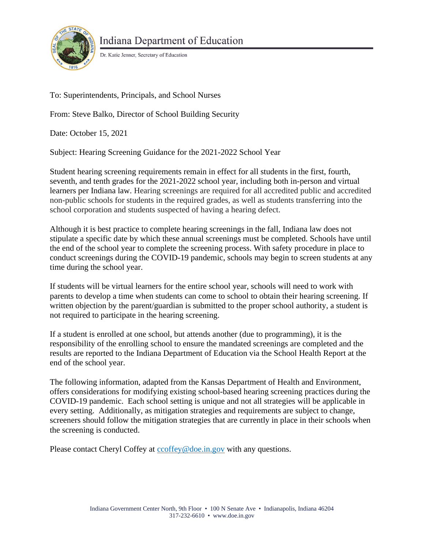

Dr. Katie Jenner, Secretary of Education

To: Superintendents, Principals, and School Nurses

From: Steve Balko, Director of School Building Security

Date: October 15, 2021

Subject: Hearing Screening Guidance for the 2021-2022 School Year

Student hearing screening requirements remain in effect for all students in the first, fourth, seventh, and tenth grades for the 2021-2022 school year, including both in-person and virtual learners per Indiana law. Hearing screenings are required for all accredited public and accredited non-public schools for students in the required grades, as well as students transferring into the school corporation and students suspected of having a hearing defect.

Although it is best practice to complete hearing screenings in the fall, Indiana law does not stipulate a specific date by which these annual screenings must be completed. Schools have until the end of the school year to complete the screening process. With safety procedure in place to conduct screenings during the COVID-19 pandemic, schools may begin to screen students at any time during the school year.

If students will be virtual learners for the entire school year, schools will need to work with parents to develop a time when students can come to school to obtain their hearing screening. If written objection by the parent/guardian is submitted to the proper school authority, a student is not required to participate in the hearing screening.

If a student is enrolled at one school, but attends another (due to programming), it is the responsibility of the enrolling school to ensure the mandated screenings are completed and the results are reported to the Indiana Department of Education via the School Health Report at the end of the school year.

The following information, adapted from the Kansas Department of Health and Environment, offers considerations for modifying existing school-based hearing screening practices during the COVID-19 pandemic. Each school setting is unique and not all strategies will be applicable in every setting. Additionally, as mitigation strategies and requirements are subject to change, screeners should follow the mitigation strategies that are currently in place in their schools when the screening is conducted.

Please contact Cheryl Coffey at cooffey@doe.in.gov with any questions.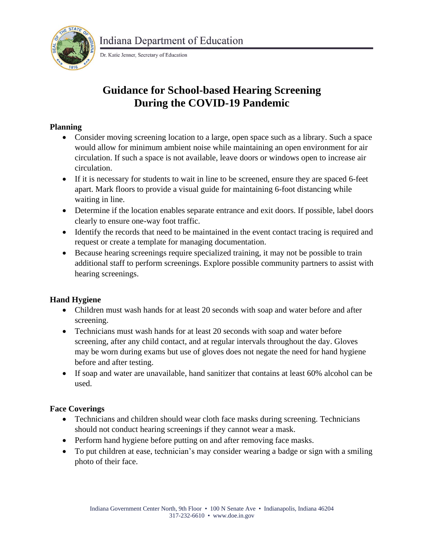

Dr. Katie Jenner, Secretary of Education

# **Guidance for School-based Hearing Screening During the COVID-19 Pandemic**

### **Planning**

- Consider moving screening location to a large, open space such as a library. Such a space would allow for minimum ambient noise while maintaining an open environment for air circulation. If such a space is not available, leave doors or windows open to increase air circulation.
- If it is necessary for students to wait in line to be screened, ensure they are spaced 6-feet apart. Mark floors to provide a visual guide for maintaining 6-foot distancing while waiting in line.
- Determine if the location enables separate entrance and exit doors. If possible, label doors clearly to ensure one-way foot traffic.
- Identify the records that need to be maintained in the event contact tracing is required and request or create a template for managing documentation.
- Because hearing screenings require specialized training, it may not be possible to train additional staff to perform screenings. Explore possible community partners to assist with hearing screenings.

## **Hand Hygiene**

- Children must wash hands for at least 20 seconds with soap and water before and after screening.
- Technicians must wash hands for at least 20 seconds with soap and water before screening, after any child contact, and at regular intervals throughout the day. Gloves may be worn during exams but use of gloves does not negate the need for hand hygiene before and after testing.
- If soap and water are unavailable, hand sanitizer that contains at least 60% alcohol can be used.

# **Face Coverings**

- Technicians and children should wear cloth face masks during screening. Technicians should not conduct hearing screenings if they cannot wear a mask.
- Perform hand hygiene before putting on and after removing face masks.
- To put children at ease, technician's may consider wearing a badge or sign with a smiling photo of their face.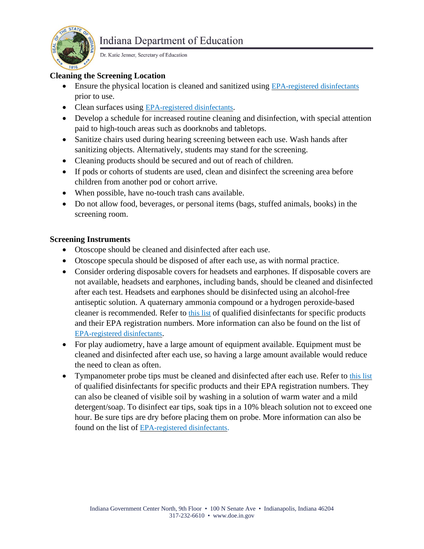

Dr. Katie Jenner, Secretary of Education

### **Cleaning the Screening Location**

- Ensure the physical location is cleaned and sanitized using [EPA-registered](https://www.epa.gov/pesticide-registration/list-n-disinfectants-use-against-sars-cov-2-covid-19) [disinfectants](https://www.epa.gov/pesticide-registration/list-n-disinfectants-use-against-sars-cov-2-covid-19) prior to use.
- Clean surfaces using [EPA-registered](https://www.epa.gov/pesticide-registration/list-n-disinfectants-use-against-sars-cov-2-covid-19) disinfectants.
- Develop a schedule for increased routine cleaning and disinfection, with special attention paid to high-touch areas such as doorknobs and tabletops.
- Sanitize chairs used during hearing screening between each use. Wash hands after sanitizing objects. Alternatively, students may stand for the screening.
- Cleaning products should be secured and out of reach of children.
- If pods or cohorts of students are used, clean and disinfect the screening area before children from another pod or cohort arrive.
- When possible, have no-touch trash cans available.
- Do not allow food, beverages, or personal items (bags, stuffed animals, books) in the screening room.

#### **Screening Instruments**

- Otoscope should be cleaned and disinfected after each use.
- Otoscope specula should be disposed of after each use, as with normal practice.
- Consider ordering disposable covers for headsets and earphones. If disposable covers are not available, headsets and earphones, including bands, should be cleaned and disinfected after each test. Headsets and earphones should be disinfected using an alcohol-free antiseptic solution. A quaternary ammonia compound or a hydrogen peroxide-based cleaner is recommended. Refer to [this](https://www.oaktreeproducts.com/covid-19-qualified-disinfectants) list of qualified disinfectants for specific products and their EPA registration numbers. More information can also be found on the list o[f](https://www.epa.gov/pesticide-registration/list-n-disinfectants-use-against-sars-cov-2-covid-19) [EPA-registered](https://www.epa.gov/pesticide-registration/list-n-disinfectants-use-against-sars-cov-2-covid-19) [disinfectants](https://www.epa.gov/pesticide-registration/list-n-disinfectants-use-against-sars-cov-2-covid-19).
- For play audiometry, have a large amount of equipment available. Equipment must be cleaned and disinfected after each use, so having a large amount available would reduce the need to clean as often.
- Tympanometer probe tips must be cleaned and disinfected after each use. Refer to [this](https://www.oaktreeproducts.com/covid-19-qualified-disinfectants) list of qualified disinfectants for specific products and their EPA registration numbers. They can also be cleaned of visible soil by washing in a solution of warm water and a mild detergent/soap. To disinfect ear tips, soak tips in a 10% bleach solution not to exceed one hour. Be sure tips are dry before placing them on probe. More information can also be found on the list of [EPA-registered](https://www.epa.gov/pesticide-registration/list-n-disinfectants-use-against-sars-cov-2-covid-19) [disinfectants](https://www.epa.gov/pesticide-registration/list-n-disinfectants-use-against-sars-cov-2-covid-19).